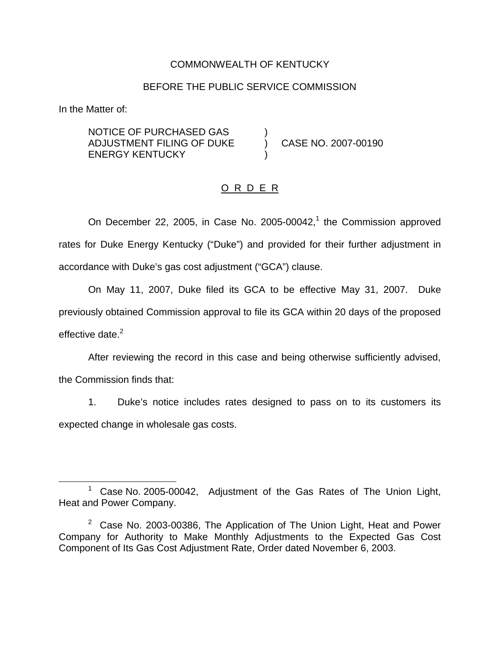## COMMONWEALTH OF KENTUCKY

#### BEFORE THE PUBLIC SERVICE COMMISSION

In the Matter of:

NOTICE OF PURCHASED GAS ) ADJUSTMENT FILING OF DUKE ) CASE NO. 2007-00190 **ENERGY KENTUCKY** 

# O R D E R

On December 22, 2005, in Case No. 2005-00042, $<sup>1</sup>$  the Commission approved</sup> rates for Duke Energy Kentucky ("Duke") and provided for their further adjustment in accordance with Duke's gas cost adjustment ("GCA") clause.

On May 11, 2007, Duke filed its GCA to be effective May 31, 2007. Duke previously obtained Commission approval to file its GCA within 20 days of the proposed effective date. $2$ 

After reviewing the record in this case and being otherwise sufficiently advised, the Commission finds that:

1. Duke's notice includes rates designed to pass on to its customers its expected change in wholesale gas costs.

<sup>1</sup> Case No. 2005-00042, Adjustment of the Gas Rates of The Union Light, Heat and Power Company.

 $2^2$  Case No. 2003-00386, The Application of The Union Light, Heat and Power Company for Authority to Make Monthly Adjustments to the Expected Gas Cost Component of Its Gas Cost Adjustment Rate, Order dated November 6, 2003.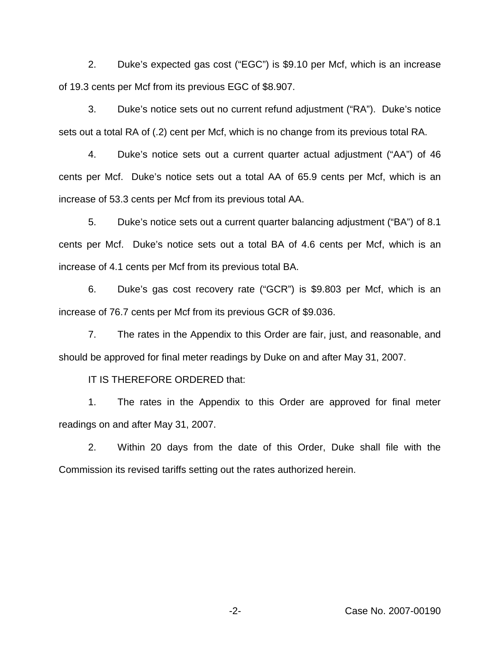2. Duke's expected gas cost ("EGC") is \$9.10 per Mcf, which is an increase of 19.3 cents per Mcf from its previous EGC of \$8.907.

3. Duke's notice sets out no current refund adjustment ("RA"). Duke's notice sets out a total RA of (.2) cent per Mcf, which is no change from its previous total RA.

4. Duke's notice sets out a current quarter actual adjustment ("AA") of 46 cents per Mcf. Duke's notice sets out a total AA of 65.9 cents per Mcf, which is an increase of 53.3 cents per Mcf from its previous total AA.

5. Duke's notice sets out a current quarter balancing adjustment ("BA") of 8.1 cents per Mcf. Duke's notice sets out a total BA of 4.6 cents per Mcf, which is an increase of 4.1 cents per Mcf from its previous total BA.

6. Duke's gas cost recovery rate ("GCR") is \$9.803 per Mcf, which is an increase of 76.7 cents per Mcf from its previous GCR of \$9.036.

7. The rates in the Appendix to this Order are fair, just, and reasonable, and should be approved for final meter readings by Duke on and after May 31, 2007.

IT IS THEREFORE ORDERED that:

1. The rates in the Appendix to this Order are approved for final meter readings on and after May 31, 2007.

2. Within 20 days from the date of this Order, Duke shall file with the Commission its revised tariffs setting out the rates authorized herein.

-2- Case No. 2007-00190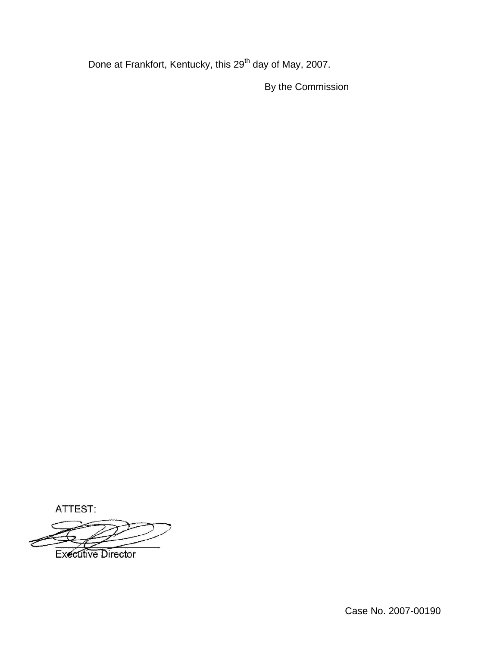Done at Frankfort, Kentucky, this 29<sup>th</sup> day of May, 2007.

By the Commission

ATTEST:

**Executive Director** 

Case No. 2007-00190